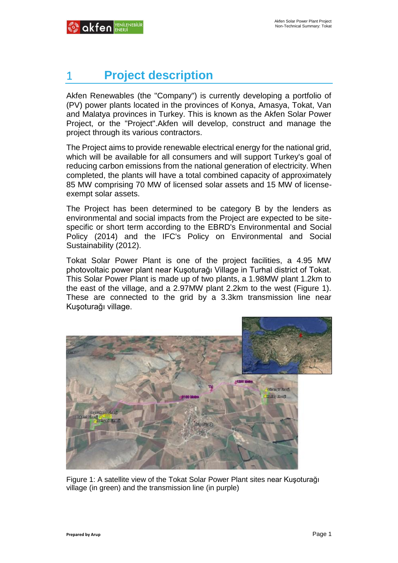# 1 **Project description**

Akfen Renewables (the "Company") is currently developing a portfolio of (PV) power plants located in the provinces of Konya, Amasya, Tokat, Van and Malatya provinces in Turkey. This is known as the Akfen Solar Power Project, or the "Project".Akfen will develop, construct and manage the project through its various contractors.

The Project aims to provide renewable electrical energy for the national grid, which will be available for all consumers and will support Turkey's goal of reducing carbon emissions from the national generation of electricity. When completed, the plants will have a total combined capacity of approximately 85 MW comprising 70 MW of licensed solar assets and 15 MW of licenseexempt solar assets.

The Project has been determined to be category B by the lenders as environmental and social impacts from the Project are expected to be sitespecific or short term according to the EBRD's Environmental and Social Policy (2014) and the IFC's Policy on Environmental and Social Sustainability (2012).

Tokat Solar Power Plant is one of the project facilities, a 4.95 MW photovoltaic power plant near Kuşoturağı Village in Turhal district of Tokat. This Solar Power Plant is made up of two plants, a 1.98MW plant 1.2km to the east of the village, and a 2.97MW plant 2.2km to the west (Figure 1). These are connected to the grid by a 3.3km transmission line near Kuşoturağı village.



Figure 1: A satellite view of the Tokat Solar Power Plant sites near Kuşoturağı village (in green) and the transmission line (in purple)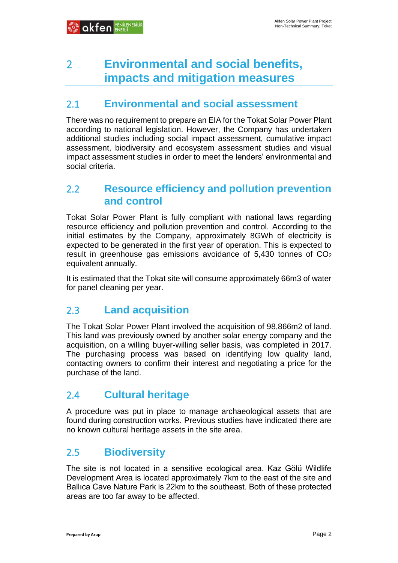## 2 **Environmental and social benefits, impacts and mitigation measures**

## 2.1 **Environmental and social assessment**

There was no requirement to prepare an EIA for the Tokat Solar Power Plant according to national legislation. However, the Company has undertaken additional studies including social impact assessment, cumulative impact assessment, biodiversity and ecosystem assessment studies and visual impact assessment studies in order to meet the lenders' environmental and social criteria.

## 2.2 **Resource efficiency and pollution prevention and control**

Tokat Solar Power Plant is fully compliant with national laws regarding resource efficiency and pollution prevention and control. According to the initial estimates by the Company, approximately 8GWh of electricity is expected to be generated in the first year of operation. This is expected to result in greenhouse gas emissions avoidance of  $5,430$  tonnes of  $CO<sub>2</sub>$ equivalent annually.

It is estimated that the Tokat site will consume approximately 66m3 of water for panel cleaning per year.

## 2.3 **Land acquisition**

The Tokat Solar Power Plant involved the acquisition of 98,866m2 of land. This land was previously owned by another solar energy company and the acquisition, on a willing buyer-willing seller basis, was completed in 2017. The purchasing process was based on identifying low quality land, contacting owners to confirm their interest and negotiating a price for the purchase of the land.

## 2.4 **Cultural heritage**

A procedure was put in place to manage archaeological assets that are found during construction works. Previous studies have indicated there are no known cultural heritage assets in the site area.

### 2.5 **Biodiversity**

The site is not located in a sensitive ecological area. Kaz Gölü Wildlife Development Area is located approximately 7km to the east of the site and Ballıca Cave Nature Park is 22km to the southeast. Both of these protected areas are too far away to be affected.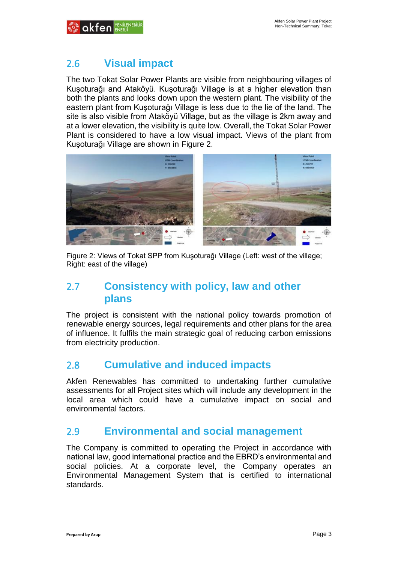

## 2.6 **Visual impact**

The two Tokat Solar Power Plants are visible from neighbouring villages of Kuşoturağı and Ataköyü. Kuşoturağı Village is at a higher elevation than both the plants and looks down upon the western plant. The visibility of the eastern plant from Kuşoturağı Village is less due to the lie of the land. The site is also visible from Ataköyü Village, but as the village is 2km away and at a lower elevation, the visibility is quite low. Overall, the Tokat Solar Power Plant is considered to have a low visual impact. Views of the plant from Kuşoturağı Village are shown in Figure 2.



Figure 2: Views of Tokat SPP from Kuşoturağı Village (Left: west of the village; Right: east of the village)

## 2.7 **Consistency with policy, law and other plans**

The project is consistent with the national policy towards promotion of renewable energy sources, legal requirements and other plans for the area of influence. It fulfils the main strategic goal of reducing carbon emissions from electricity production.

### 2.8 **Cumulative and induced impacts**

Akfen Renewables has committed to undertaking further cumulative assessments for all Project sites which will include any development in the local area which could have a cumulative impact on social and environmental factors.

### 2.9 **Environmental and social management**

The Company is committed to operating the Project in accordance with national law, good international practice and the EBRD's environmental and social policies. At a corporate level, the Company operates an Environmental Management System that is certified to international standards.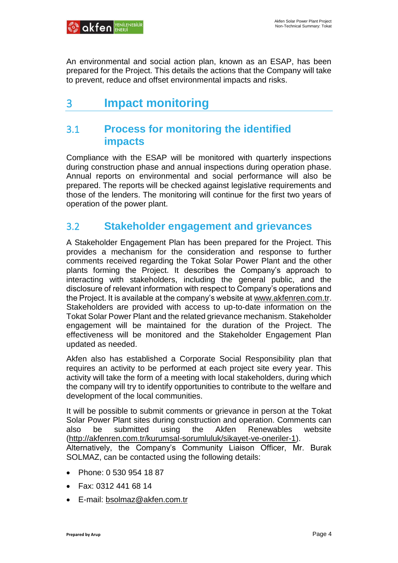An environmental and social action plan, known as an ESAP, has been prepared for the Project. This details the actions that the Company will take to prevent, reduce and offset environmental impacts and risks.

## 3 **Impact monitoring**

## 3.1 **Process for monitoring the identified impacts**

Compliance with the ESAP will be monitored with quarterly inspections during construction phase and annual inspections during operation phase. Annual reports on environmental and social performance will also be prepared. The reports will be checked against legislative requirements and those of the lenders. The monitoring will continue for the first two years of operation of the power plant.

## 3.2 **Stakeholder engagement and grievances**

A Stakeholder Engagement Plan has been prepared for the Project. This provides a mechanism for the consideration and response to further comments received regarding the Tokat Solar Power Plant and the other plants forming the Project. It describes the Company's approach to interacting with stakeholders, including the general public, and the disclosure of relevant information with respect to Company's operations and the Project. It is available at the company's website at [www.akfenren.com.tr.](http://www.akfenren.com.tr/) Stakeholders are provided with access to up-to-date information on the Tokat Solar Power Plant and the related grievance mechanism. Stakeholder engagement will be maintained for the duration of the Project. The effectiveness will be monitored and the Stakeholder Engagement Plan updated as needed.

Akfen also has established a Corporate Social Responsibility plan that requires an activity to be performed at each project site every year. This activity will take the form of a meeting with local stakeholders, during which the company will try to identify opportunities to contribute to the welfare and development of the local communities.

It will be possible to submit comments or grievance in person at the Tokat Solar Power Plant sites during construction and operation. Comments can also be submitted using the Akfen Renewables website [\(http://akfenren.com.tr/kurumsal-sorumluluk/sikayet-ve-oneriler-1\)](http://akfenren.com.tr/kurumsal-sorumluluk/sikayet-ve-oneriler-1).

Alternatively, the Company's Community Liaison Officer, Mr. Burak SOLMAZ, can be contacted using the following details:

- Phone: 0 530 954 18 87
- Fax: 0312 441 68 14
- E-mail: [bsolmaz@akfen.com.tr](mailto:bsolmaz@akfen.com.tr)